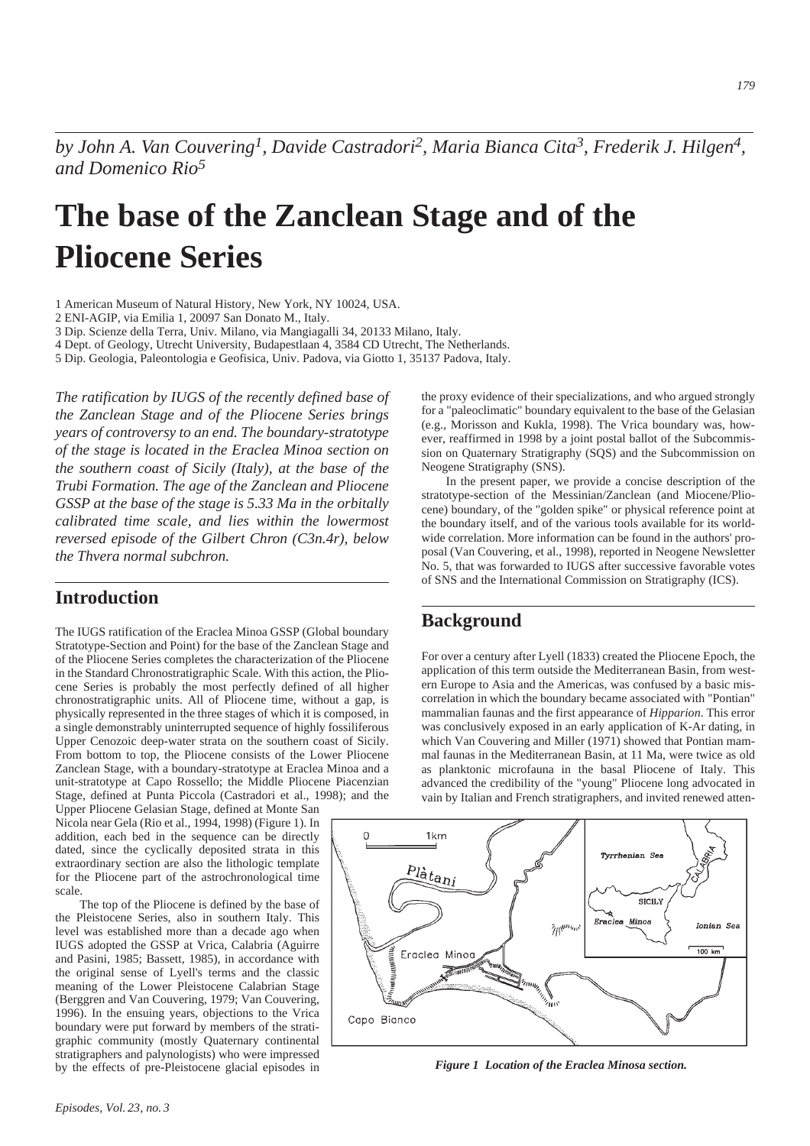*by John A. Van Couvering1, Davide Castradori2, Maria Bianca Cita3, Frederik J. Hilgen4, and Domenico Rio5*

# **The base of the Zanclean Stage and of the Pliocene Series**

1 American Museum of Natural History, New York, NY 10024, USA.

2 ENI-AGIP, via Emilia 1, 20097 San Donato M., Italy.

3 Dip. Scienze della Terra, Univ. Milano, via Mangiagalli 34, 20133 Milano, Italy.

4 Dept. of Geology, Utrecht University, Budapestlaan 4, 3584 CD Utrecht, The Netherlands.

5 Dip. Geologia, Paleontologia e Geofisica, Univ. Padova, via Giotto 1, 35137 Padova, Italy.

*The ratification by IUGS of the recently defined base of the Zanclean Stage and of the Pliocene Series brings years of controversy to an end. The boundary-stratotype of the stage is located in the Eraclea Minoa section on the southern coast of Sicily (Italy), at the base of the Trubi Formation. The age of the Zanclean and Pliocene GSSP at the base of the stage is 5.33 Ma in the orbitally calibrated time scale, and lies within the lowermost reversed episode of the Gilbert Chron (C3n.4r), below the Thvera normal subchron.*

# **Introduction**

The IUGS ratification of the Eraclea Minoa GSSP (Global boundary Stratotype-Section and Point) for the base of the Zanclean Stage and of the Pliocene Series completes the characterization of the Pliocene in the Standard Chronostratigraphic Scale. With this action, the Pliocene Series is probably the most perfectly defined of all higher chronostratigraphic units. All of Pliocene time, without a gap, is physically represented in the three stages of which it is composed, in a single demonstrably uninterrupted sequence of highly fossiliferous Upper Cenozoic deep-water strata on the southern coast of Sicily. From bottom to top, the Pliocene consists of the Lower Pliocene Zanclean Stage, with a boundary-stratotype at Eraclea Minoa and a unit-stratotype at Capo Rossello; the Middle Pliocene Piacenzian Stage, defined at Punta Piccola (Castradori et al., 1998); and the

Upper Pliocene Gelasian Stage, defined at Monte San Nicola near Gela (Rio et al., 1994, 1998) (Figure 1). In addition, each bed in the sequence can be directly dated, since the cyclically deposited strata in this extraordinary section are also the lithologic template for the Pliocene part of the astrochronological time scale.

The top of the Pliocene is defined by the base of the Pleistocene Series, also in southern Italy. This level was established more than a decade ago when IUGS adopted the GSSP at Vrica, Calabria (Aguirre and Pasini, 1985; Bassett, 1985), in accordance with the original sense of Lyell's terms and the classic meaning of the Lower Pleistocene Calabrian Stage (Berggren and Van Couvering, 1979; Van Couvering, 1996). In the ensuing years, objections to the Vrica boundary were put forward by members of the stratigraphic community (mostly Quaternary continental stratigraphers and palynologists) who were impressed by the effects of pre-Pleistocene glacial episodes in the proxy evidence of their specializations, and who argued strongly for a "paleoclimatic" boundary equivalent to the base of the Gelasian (e.g., Morisson and Kukla, 1998). The Vrica boundary was, however, reaffirmed in 1998 by a joint postal ballot of the Subcommission on Quaternary Stratigraphy (SQS) and the Subcommission on Neogene Stratigraphy (SNS).

In the present paper, we provide a concise description of the stratotype-section of the Messinian/Zanclean (and Miocene/Pliocene) boundary, of the "golden spike" or physical reference point at the boundary itself, and of the various tools available for its worldwide correlation. More information can be found in the authors' proposal (Van Couvering, et al., 1998), reported in Neogene Newsletter No. 5, that was forwarded to IUGS after successive favorable votes of SNS and the International Commission on Stratigraphy (ICS).

# **Background**

For over a century after Lyell (1833) created the Pliocene Epoch, the application of this term outside the Mediterranean Basin, from western Europe to Asia and the Americas, was confused by a basic miscorrelation in which the boundary became associated with "Pontian" mammalian faunas and the first appearance of *Hipparion*. This error was conclusively exposed in an early application of K-Ar dating, in which Van Couvering and Miller (1971) showed that Pontian mammal faunas in the Mediterranean Basin, at 11 Ma, were twice as old as planktonic microfauna in the basal Pliocene of Italy. This advanced the credibility of the "young" Pliocene long advocated in vain by Italian and French stratigraphers, and invited renewed atten-



*Figure 1 Location of the Eraclea Minosa section.*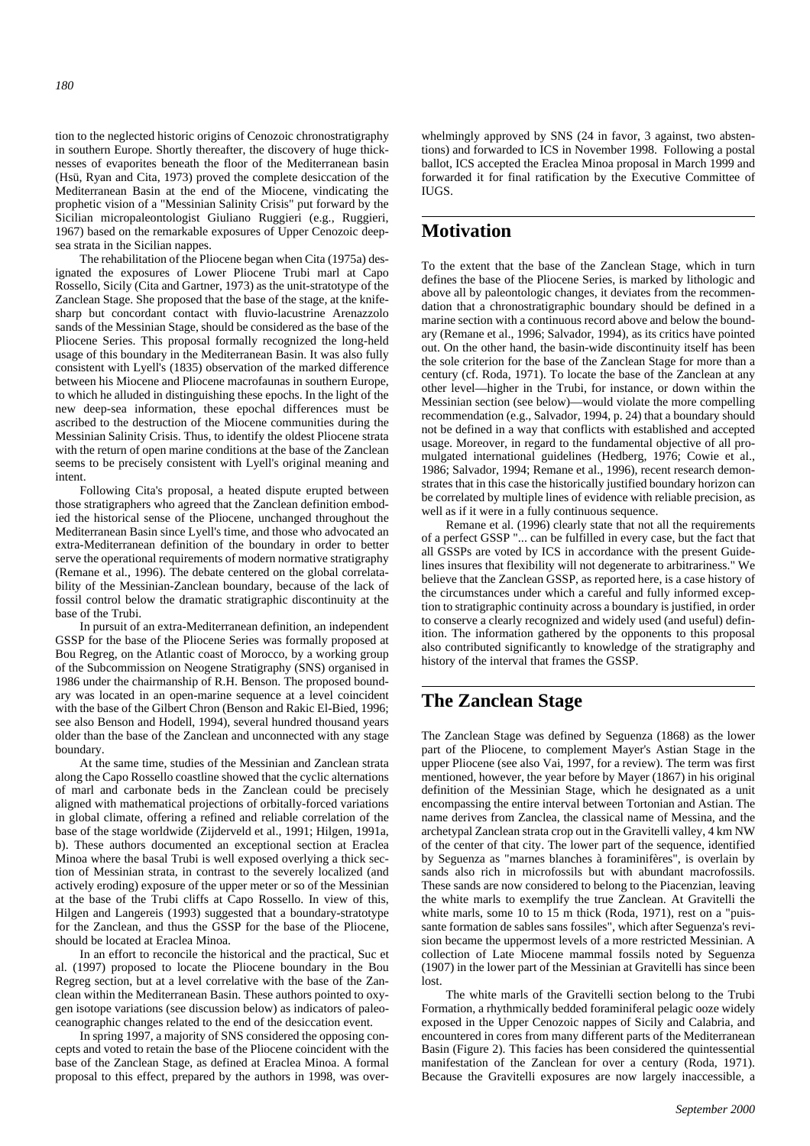tion to the neglected historic origins of Cenozoic chronostratigraphy in southern Europe. Shortly thereafter, the discovery of huge thicknesses of evaporites beneath the floor of the Mediterranean basin (Hsü, Ryan and Cita, 1973) proved the complete desiccation of the Mediterranean Basin at the end of the Miocene, vindicating the prophetic vision of a "Messinian Salinity Crisis" put forward by the Sicilian micropaleontologist Giuliano Ruggieri (e.g., Ruggieri, 1967) based on the remarkable exposures of Upper Cenozoic deepsea strata in the Sicilian nappes.

The rehabilitation of the Pliocene began when Cita (1975a) designated the exposures of Lower Pliocene Trubi marl at Capo Rossello, Sicily (Cita and Gartner, 1973) as the unit-stratotype of the Zanclean Stage. She proposed that the base of the stage, at the knifesharp but concordant contact with fluvio-lacustrine Arenazzolo sands of the Messinian Stage, should be considered as the base of the Pliocene Series. This proposal formally recognized the long-held usage of this boundary in the Mediterranean Basin. It was also fully consistent with Lyell's (1835) observation of the marked difference between his Miocene and Pliocene macrofaunas in southern Europe, to which he alluded in distinguishing these epochs. In the light of the new deep-sea information, these epochal differences must be ascribed to the destruction of the Miocene communities during the Messinian Salinity Crisis. Thus, to identify the oldest Pliocene strata with the return of open marine conditions at the base of the Zanclean seems to be precisely consistent with Lyell's original meaning and intent.

Following Cita's proposal, a heated dispute erupted between those stratigraphers who agreed that the Zanclean definition embodied the historical sense of the Pliocene, unchanged throughout the Mediterranean Basin since Lyell's time, and those who advocated an extra-Mediterranean definition of the boundary in order to better serve the operational requirements of modern normative stratigraphy (Remane et al., 1996). The debate centered on the global correlatability of the Messinian-Zanclean boundary, because of the lack of fossil control below the dramatic stratigraphic discontinuity at the base of the Trubi.

In pursuit of an extra-Mediterranean definition, an independent GSSP for the base of the Pliocene Series was formally proposed at Bou Regreg, on the Atlantic coast of Morocco, by a working group of the Subcommission on Neogene Stratigraphy (SNS) organised in 1986 under the chairmanship of R.H. Benson. The proposed boundary was located in an open-marine sequence at a level coincident with the base of the Gilbert Chron (Benson and Rakic El-Bied, 1996; see also Benson and Hodell, 1994), several hundred thousand years older than the base of the Zanclean and unconnected with any stage boundary.

At the same time, studies of the Messinian and Zanclean strata along the Capo Rossello coastline showed that the cyclic alternations of marl and carbonate beds in the Zanclean could be precisely aligned with mathematical projections of orbitally-forced variations in global climate, offering a refined and reliable correlation of the base of the stage worldwide (Zijderveld et al., 1991; Hilgen, 1991a, b). These authors documented an exceptional section at Eraclea Minoa where the basal Trubi is well exposed overlying a thick section of Messinian strata, in contrast to the severely localized (and actively eroding) exposure of the upper meter or so of the Messinian at the base of the Trubi cliffs at Capo Rossello. In view of this, Hilgen and Langereis (1993) suggested that a boundary-stratotype for the Zanclean, and thus the GSSP for the base of the Pliocene, should be located at Eraclea Minoa.

In an effort to reconcile the historical and the practical, Suc et al. (1997) proposed to locate the Pliocene boundary in the Bou Regreg section, but at a level correlative with the base of the Zanclean within the Mediterranean Basin. These authors pointed to oxygen isotope variations (see discussion below) as indicators of paleoceanographic changes related to the end of the desiccation event.

In spring 1997, a majority of SNS considered the opposing concepts and voted to retain the base of the Pliocene coincident with the base of the Zanclean Stage, as defined at Eraclea Minoa. A formal proposal to this effect, prepared by the authors in 1998, was overwhelmingly approved by SNS (24 in favor, 3 against, two abstentions) and forwarded to ICS in November 1998. Following a postal ballot, ICS accepted the Eraclea Minoa proposal in March 1999 and forwarded it for final ratification by the Executive Committee of **IUGS** 

# **Motivation**

To the extent that the base of the Zanclean Stage, which in turn defines the base of the Pliocene Series, is marked by lithologic and above all by paleontologic changes, it deviates from the recommendation that a chronostratigraphic boundary should be defined in a marine section with a continuous record above and below the boundary (Remane et al., 1996; Salvador, 1994), as its critics have pointed out. On the other hand, the basin-wide discontinuity itself has been the sole criterion for the base of the Zanclean Stage for more than a century (cf. Roda, 1971). To locate the base of the Zanclean at any other level—higher in the Trubi, for instance, or down within the Messinian section (see below)—would violate the more compelling recommendation (e.g., Salvador, 1994, p. 24) that a boundary should not be defined in a way that conflicts with established and accepted usage. Moreover, in regard to the fundamental objective of all promulgated international guidelines (Hedberg, 1976; Cowie et al., 1986; Salvador, 1994; Remane et al., 1996), recent research demonstrates that in this case the historically justified boundary horizon can be correlated by multiple lines of evidence with reliable precision, as well as if it were in a fully continuous sequence.

Remane et al. (1996) clearly state that not all the requirements of a perfect GSSP "... can be fulfilled in every case, but the fact that all GSSPs are voted by ICS in accordance with the present Guidelines insures that flexibility will not degenerate to arbitrariness." We believe that the Zanclean GSSP, as reported here, is a case history of the circumstances under which a careful and fully informed exception to stratigraphic continuity across a boundary is justified, in order to conserve a clearly recognized and widely used (and useful) definition. The information gathered by the opponents to this proposal also contributed significantly to knowledge of the stratigraphy and history of the interval that frames the GSSP.

# **The Zanclean Stage**

The Zanclean Stage was defined by Seguenza (1868) as the lower part of the Pliocene, to complement Mayer's Astian Stage in the upper Pliocene (see also Vai, 1997, for a review). The term was first mentioned, however, the year before by Mayer (1867) in his original definition of the Messinian Stage, which he designated as a unit encompassing the entire interval between Tortonian and Astian. The name derives from Zanclea, the classical name of Messina, and the archetypal Zanclean strata crop out in the Gravitelli valley, 4 km NW of the center of that city. The lower part of the sequence, identified by Seguenza as "marnes blanches à foraminifères", is overlain by sands also rich in microfossils but with abundant macrofossils. These sands are now considered to belong to the Piacenzian, leaving the white marls to exemplify the true Zanclean. At Gravitelli the white marls, some 10 to 15 m thick (Roda, 1971), rest on a "puissante formation de sables sans fossiles", which after Seguenza's revision became the uppermost levels of a more restricted Messinian. A collection of Late Miocene mammal fossils noted by Seguenza (1907) in the lower part of the Messinian at Gravitelli has since been lost.

The white marls of the Gravitelli section belong to the Trubi Formation, a rhythmically bedded foraminiferal pelagic ooze widely exposed in the Upper Cenozoic nappes of Sicily and Calabria, and encountered in cores from many different parts of the Mediterranean Basin (Figure 2). This facies has been considered the quintessential manifestation of the Zanclean for over a century (Roda, 1971). Because the Gravitelli exposures are now largely inaccessible, a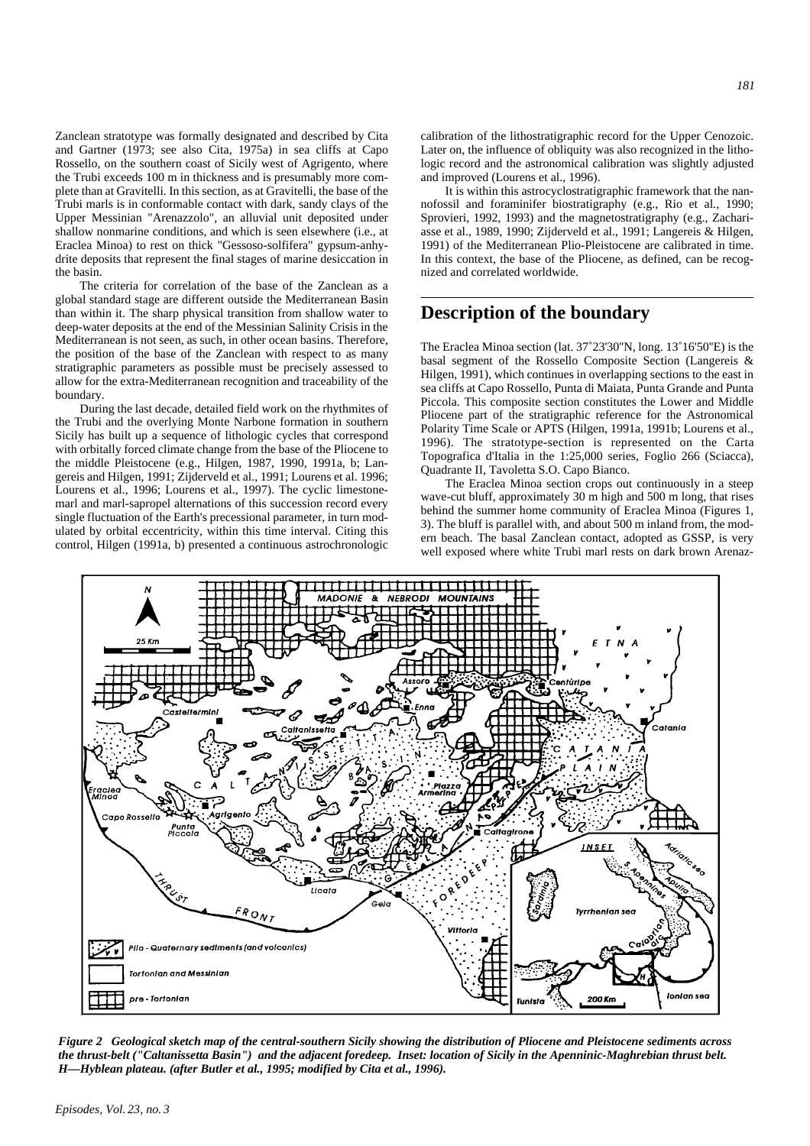Zanclean stratotype was formally designated and described by Cita and Gartner (1973; see also Cita, 1975a) in sea cliffs at Capo Rossello, on the southern coast of Sicily west of Agrigento, where the Trubi exceeds 100 m in thickness and is presumably more complete than at Gravitelli. In this section, as at Gravitelli, the base of the Trubi marls is in conformable contact with dark, sandy clays of the Upper Messinian "Arenazzolo", an alluvial unit deposited under shallow nonmarine conditions, and which is seen elsewhere (i.e., at Eraclea Minoa) to rest on thick "Gessoso-solfifera" gypsum-anhydrite deposits that represent the final stages of marine desiccation in the basin.

The criteria for correlation of the base of the Zanclean as a global standard stage are different outside the Mediterranean Basin than within it. The sharp physical transition from shallow water to deep-water deposits at the end of the Messinian Salinity Crisis in the Mediterranean is not seen, as such, in other ocean basins. Therefore, the position of the base of the Zanclean with respect to as many stratigraphic parameters as possible must be precisely assessed to allow for the extra-Mediterranean recognition and traceability of the boundary.

During the last decade, detailed field work on the rhythmites of the Trubi and the overlying Monte Narbone formation in southern Sicily has built up a sequence of lithologic cycles that correspond with orbitally forced climate change from the base of the Pliocene to the middle Pleistocene (e.g., Hilgen, 1987, 1990, 1991a, b; Langereis and Hilgen, 1991; Zijderveld et al., 1991; Lourens et al. 1996; Lourens et al., 1996; Lourens et al., 1997). The cyclic limestonemarl and marl-sapropel alternations of this succession record every single fluctuation of the Earth's precessional parameter, in turn modulated by orbital eccentricity, within this time interval. Citing this control, Hilgen (1991a, b) presented a continuous astrochronologic *181*

calibration of the lithostratigraphic record for the Upper Cenozoic. Later on, the influence of obliquity was also recognized in the lithologic record and the astronomical calibration was slightly adjusted and improved (Lourens et al., 1996).

It is within this astrocyclostratigraphic framework that the nannofossil and foraminifer biostratigraphy (e.g., Rio et al., 1990; Sprovieri, 1992, 1993) and the magnetostratigraphy (e.g., Zachariasse et al., 1989, 1990; Zijderveld et al., 1991; Langereis & Hilgen, 1991) of the Mediterranean Plio-Pleistocene are calibrated in time. In this context, the base of the Pliocene, as defined, can be recognized and correlated worldwide.

# **Description of the boundary**

The Eraclea Minoa section (lat. 37˚23'30''N, long. 13˚16'50''E) is the basal segment of the Rossello Composite Section (Langereis & Hilgen, 1991), which continues in overlapping sections to the east in sea cliffs at Capo Rossello, Punta di Maiata, Punta Grande and Punta Piccola. This composite section constitutes the Lower and Middle Pliocene part of the stratigraphic reference for the Astronomical Polarity Time Scale or APTS (Hilgen, 1991a, 1991b; Lourens et al., 1996). The stratotype-section is represented on the Carta Topografica d'Italia in the 1:25,000 series, Foglio 266 (Sciacca), Quadrante II, Tavoletta S.O. Capo Bianco.

The Eraclea Minoa section crops out continuously in a steep wave-cut bluff, approximately 30 m high and 500 m long, that rises behind the summer home community of Eraclea Minoa (Figures 1, 3). The bluff is parallel with, and about 500 m inland from, the modern beach. The basal Zanclean contact, adopted as GSSP, is very well exposed where white Trubi marl rests on dark brown Arenaz-



*Figure 2 Geological sketch map of the central-southern Sicily showing the distribution of Pliocene and Pleistocene sediments across the thrust-belt ("Caltanissetta Basin") and the adjacent foredeep. Inset: location of Sicily in the Apenninic-Maghrebian thrust belt. H—Hyblean plateau. (after Butler et al., 1995; modified by Cita et al., 1996).*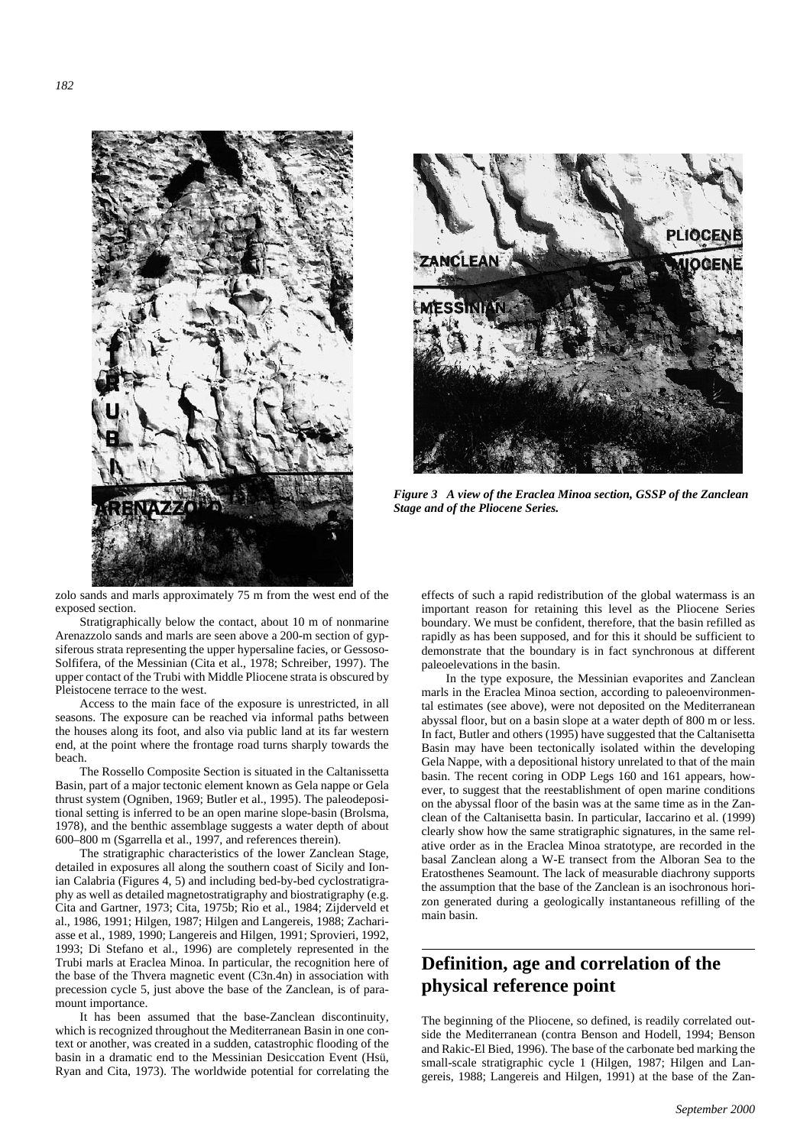



*Figure 3 A view of the Eraclea Minoa section, GSSP of the Zanclean Stage and of the Pliocene Series.*

zolo sands and marls approximately 75 m from the west end of the exposed section.

Stratigraphically below the contact, about 10 m of nonmarine Arenazzolo sands and marls are seen above a 200-m section of gypsiferous strata representing the upper hypersaline facies, or Gessoso-Solfifera, of the Messinian (Cita et al., 1978; Schreiber, 1997). The upper contact of the Trubi with Middle Pliocene strata is obscured by Pleistocene terrace to the west.

Access to the main face of the exposure is unrestricted, in all seasons. The exposure can be reached via informal paths between the houses along its foot, and also via public land at its far western end, at the point where the frontage road turns sharply towards the beach.

The Rossello Composite Section is situated in the Caltanissetta Basin, part of a major tectonic element known as Gela nappe or Gela thrust system (Ogniben, 1969; Butler et al., 1995). The paleodepositional setting is inferred to be an open marine slope-basin (Brolsma, 1978), and the benthic assemblage suggests a water depth of about 600–800 m (Sgarrella et al., 1997, and references therein).

The stratigraphic characteristics of the lower Zanclean Stage, detailed in exposures all along the southern coast of Sicily and Ionian Calabria (Figures 4, 5) and including bed-by-bed cyclostratigraphy as well as detailed magnetostratigraphy and biostratigraphy (e.g. Cita and Gartner, 1973; Cita, 1975b; Rio et al., 1984; Zijderveld et al., 1986, 1991; Hilgen, 1987; Hilgen and Langereis, 1988; Zachariasse et al., 1989, 1990; Langereis and Hilgen, 1991; Sprovieri, 1992, 1993; Di Stefano et al., 1996) are completely represented in the Trubi marls at Eraclea Minoa. In particular, the recognition here of the base of the Thvera magnetic event (C3n.4n) in association with precession cycle 5, just above the base of the Zanclean, is of paramount importance.

It has been assumed that the base-Zanclean discontinuity, which is recognized throughout the Mediterranean Basin in one context or another, was created in a sudden, catastrophic flooding of the basin in a dramatic end to the Messinian Desiccation Event (Hsü, Ryan and Cita, 1973). The worldwide potential for correlating the effects of such a rapid redistribution of the global watermass is an important reason for retaining this level as the Pliocene Series boundary. We must be confident, therefore, that the basin refilled as rapidly as has been supposed, and for this it should be sufficient to demonstrate that the boundary is in fact synchronous at different paleoelevations in the basin.

In the type exposure, the Messinian evaporites and Zanclean marls in the Eraclea Minoa section, according to paleoenvironmental estimates (see above), were not deposited on the Mediterranean abyssal floor, but on a basin slope at a water depth of 800 m or less. In fact, Butler and others (1995) have suggested that the Caltanisetta Basin may have been tectonically isolated within the developing Gela Nappe, with a depositional history unrelated to that of the main basin. The recent coring in ODP Legs 160 and 161 appears, however, to suggest that the reestablishment of open marine conditions on the abyssal floor of the basin was at the same time as in the Zanclean of the Caltanisetta basin. In particular, Iaccarino et al. (1999) clearly show how the same stratigraphic signatures, in the same relative order as in the Eraclea Minoa stratotype, are recorded in the basal Zanclean along a W-E transect from the Alboran Sea to the Eratosthenes Seamount. The lack of measurable diachrony supports the assumption that the base of the Zanclean is an isochronous horizon generated during a geologically instantaneous refilling of the main basin.

# **Definition, age and correlation of the physical reference point**

The beginning of the Pliocene, so defined, is readily correlated outside the Mediterranean (contra Benson and Hodell, 1994; Benson and Rakic-El Bied, 1996). The base of the carbonate bed marking the small-scale stratigraphic cycle 1 (Hilgen, 1987; Hilgen and Langereis, 1988; Langereis and Hilgen, 1991) at the base of the Zan-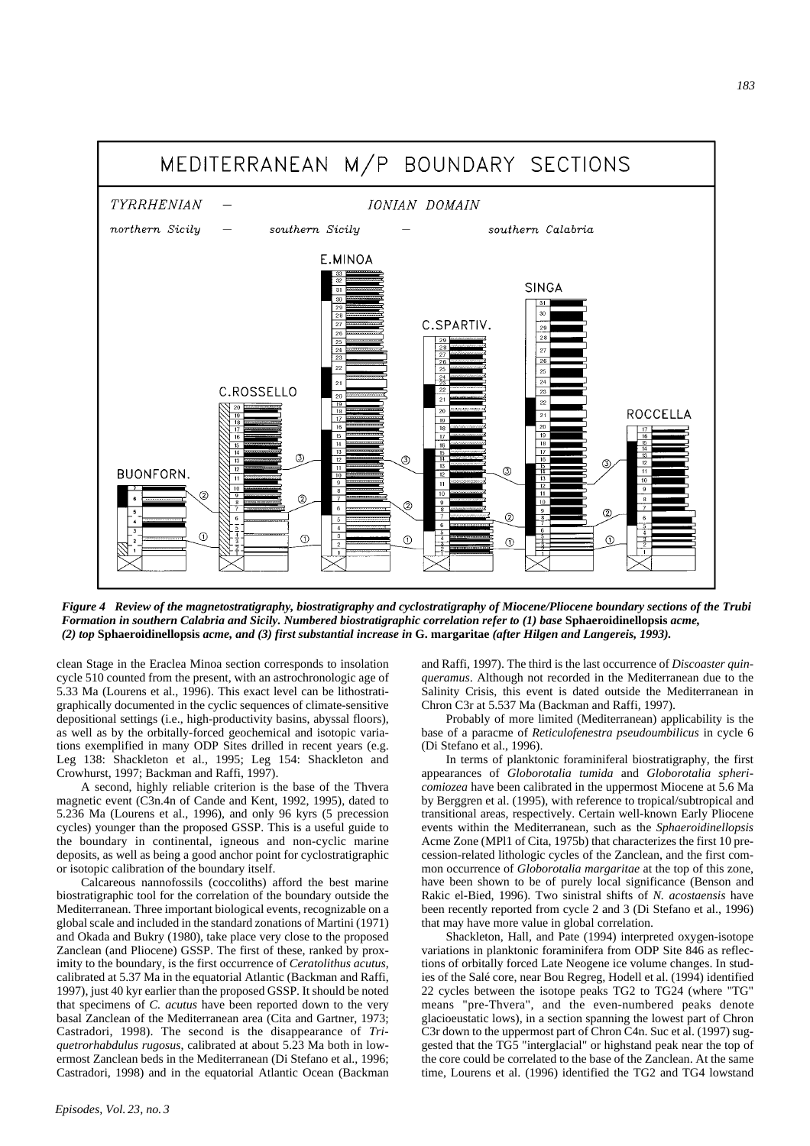

*Figure 4 Review of the magnetostratigraphy, biostratigraphy and cyclostratigraphy of Miocene/Pliocene boundary sections of the Trubi Formation in southern Calabria and Sicily. Numbered biostratigraphic correlation refer to (1) base* **Sphaeroidinellopsis** *acme, (2) top* **Sphaeroidinellopsis** *acme, and (3) first substantial increase in* **G. margaritae** *(after Hilgen and Langereis, 1993).*

clean Stage in the Eraclea Minoa section corresponds to insolation cycle 510 counted from the present, with an astrochronologic age of 5.33 Ma (Lourens et al., 1996). This exact level can be lithostratigraphically documented in the cyclic sequences of climate-sensitive depositional settings (i.e., high-productivity basins, abyssal floors), as well as by the orbitally-forced geochemical and isotopic variations exemplified in many ODP Sites drilled in recent years (e.g. Leg 138: Shackleton et al., 1995; Leg 154: Shackleton and Crowhurst, 1997; Backman and Raffi, 1997).

A second, highly reliable criterion is the base of the Thvera magnetic event (C3n.4n of Cande and Kent, 1992, 1995), dated to 5.236 Ma (Lourens et al., 1996), and only 96 kyrs (5 precession cycles) younger than the proposed GSSP. This is a useful guide to the boundary in continental, igneous and non-cyclic marine deposits, as well as being a good anchor point for cyclostratigraphic or isotopic calibration of the boundary itself.

Calcareous nannofossils (coccoliths) afford the best marine biostratigraphic tool for the correlation of the boundary outside the Mediterranean. Three important biological events, recognizable on a global scale and included in the standard zonations of Martini (1971) and Okada and Bukry (1980), take place very close to the proposed Zanclean (and Pliocene) GSSP. The first of these, ranked by proximity to the boundary, is the first occurrence of *Ceratolithus acutus*, calibrated at 5.37 Ma in the equatorial Atlantic (Backman and Raffi, 1997), just 40 kyr earlier than the proposed GSSP. It should be noted that specimens of *C. acutus* have been reported down to the very basal Zanclean of the Mediterranean area (Cita and Gartner, 1973; Castradori, 1998). The second is the disappearance of *Triquetrorhabdulus rugosus*, calibrated at about 5.23 Ma both in lowermost Zanclean beds in the Mediterranean (Di Stefano et al., 1996; Castradori, 1998) and in the equatorial Atlantic Ocean (Backman

and Raffi, 1997). The third is the last occurrence of *Discoaster quinqueramus*. Although not recorded in the Mediterranean due to the Salinity Crisis, this event is dated outside the Mediterranean in Chron C3r at 5.537 Ma (Backman and Raffi, 1997).

Probably of more limited (Mediterranean) applicability is the base of a paracme of *Reticulofenestra pseudoumbilicus* in cycle 6 (Di Stefano et al., 1996).

In terms of planktonic foraminiferal biostratigraphy, the first appearances of *Globorotalia tumida* and *Globorotalia sphericomiozea* have been calibrated in the uppermost Miocene at 5.6 Ma by Berggren et al. (1995), with reference to tropical/subtropical and transitional areas, respectively. Certain well-known Early Pliocene events within the Mediterranean, such as the *Sphaeroidinellopsis* Acme Zone (MPl1 of Cita, 1975b) that characterizes the first 10 precession-related lithologic cycles of the Zanclean, and the first common occurrence of *Globorotalia margaritae* at the top of this zone, have been shown to be of purely local significance (Benson and Rakic el-Bied, 1996). Two sinistral shifts of *N. acostaensis* have been recently reported from cycle 2 and 3 (Di Stefano et al., 1996) that may have more value in global correlation.

Shackleton, Hall, and Pate (1994) interpreted oxygen-isotope variations in planktonic foraminifera from ODP Site 846 as reflections of orbitally forced Late Neogene ice volume changes. In studies of the Salé core, near Bou Regreg, Hodell et al. (1994) identified 22 cycles between the isotope peaks TG2 to TG24 (where "TG" means "pre-Thvera", and the even-numbered peaks denote glacioeustatic lows), in a section spanning the lowest part of Chron C3r down to the uppermost part of Chron C4n. Suc et al. (1997) suggested that the TG5 "interglacial" or highstand peak near the top of the core could be correlated to the base of the Zanclean. At the same time, Lourens et al. (1996) identified the TG2 and TG4 lowstand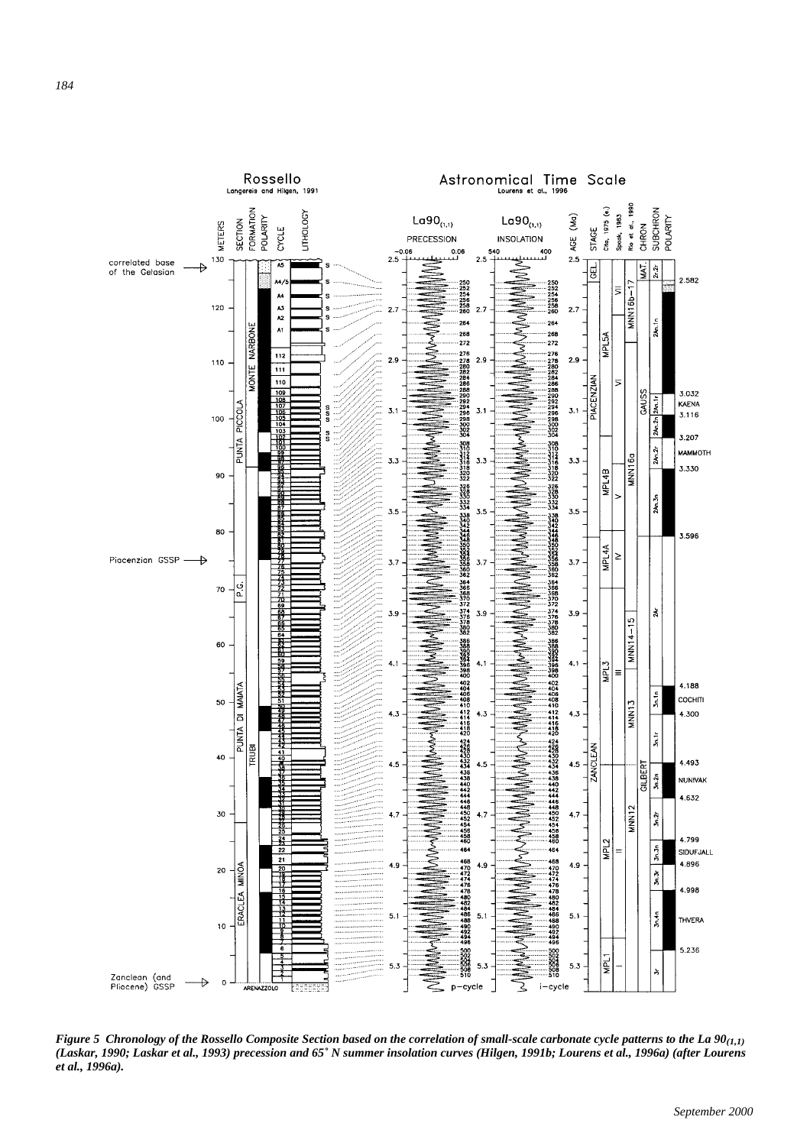

*Figure 5 Chronology of the Rossello Composite Section based on the correlation of small-scale carbonate cycle patterns to the La 90(1,1) (Laskar, 1990; Laskar et al., 1993) precession and 65˚ N summer insolation curves (Hilgen, 1991b; Lourens et al., 1996a) (after Lourens et al., 1996a).*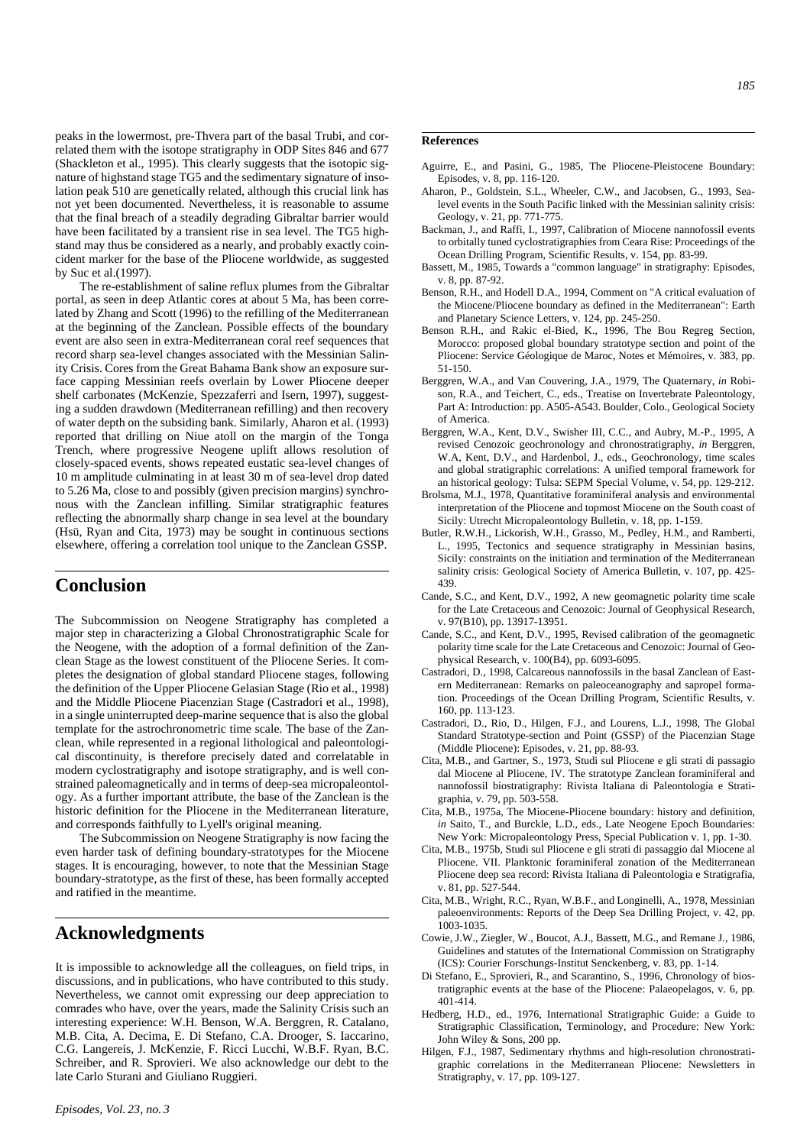peaks in the lowermost, pre-Thvera part of the basal Trubi, and correlated them with the isotope stratigraphy in ODP Sites 846 and 677 (Shackleton et al., 1995). This clearly suggests that the isotopic signature of highstand stage TG5 and the sedimentary signature of insolation peak 510 are genetically related, although this crucial link has not yet been documented. Nevertheless, it is reasonable to assume that the final breach of a steadily degrading Gibraltar barrier would have been facilitated by a transient rise in sea level. The TG5 highstand may thus be considered as a nearly, and probably exactly coincident marker for the base of the Pliocene worldwide, as suggested by Suc et al.(1997).

The re-establishment of saline reflux plumes from the Gibraltar portal, as seen in deep Atlantic cores at about 5 Ma, has been correlated by Zhang and Scott (1996) to the refilling of the Mediterranean at the beginning of the Zanclean. Possible effects of the boundary event are also seen in extra-Mediterranean coral reef sequences that record sharp sea-level changes associated with the Messinian Salinity Crisis. Cores from the Great Bahama Bank show an exposure surface capping Messinian reefs overlain by Lower Pliocene deeper shelf carbonates (McKenzie, Spezzaferri and Isern, 1997), suggesting a sudden drawdown (Mediterranean refilling) and then recovery of water depth on the subsiding bank. Similarly, Aharon et al. (1993) reported that drilling on Niue atoll on the margin of the Tonga Trench, where progressive Neogene uplift allows resolution of closely-spaced events, shows repeated eustatic sea-level changes of 10 m amplitude culminating in at least 30 m of sea-level drop dated to 5.26 Ma, close to and possibly (given precision margins) synchronous with the Zanclean infilling. Similar stratigraphic features reflecting the abnormally sharp change in sea level at the boundary (Hsü, Ryan and Cita, 1973) may be sought in continuous sections elsewhere, offering a correlation tool unique to the Zanclean GSSP.

## **Conclusion**

The Subcommission on Neogene Stratigraphy has completed a major step in characterizing a Global Chronostratigraphic Scale for the Neogene, with the adoption of a formal definition of the Zanclean Stage as the lowest constituent of the Pliocene Series. It completes the designation of global standard Pliocene stages, following the definition of the Upper Pliocene Gelasian Stage (Rio et al., 1998) and the Middle Pliocene Piacenzian Stage (Castradori et al., 1998), in a single uninterrupted deep-marine sequence that is also the global template for the astrochronometric time scale. The base of the Zanclean, while represented in a regional lithological and paleontological discontinuity, is therefore precisely dated and correlatable in modern cyclostratigraphy and isotope stratigraphy, and is well constrained paleomagnetically and in terms of deep-sea micropaleontology. As a further important attribute, the base of the Zanclean is the historic definition for the Pliocene in the Mediterranean literature, and corresponds faithfully to Lyell's original meaning.

The Subcommission on Neogene Stratigraphy is now facing the even harder task of defining boundary-stratotypes for the Miocene stages. It is encouraging, however, to note that the Messinian Stage boundary-stratotype, as the first of these, has been formally accepted and ratified in the meantime.

## **Acknowledgments**

It is impossible to acknowledge all the colleagues, on field trips, in discussions, and in publications, who have contributed to this study. Nevertheless, we cannot omit expressing our deep appreciation to comrades who have, over the years, made the Salinity Crisis such an interesting experience: W.H. Benson, W.A. Berggren, R. Catalano, M.B. Cita, A. Decima, E. Di Stefano, C.A. Drooger, S. Iaccarino, C.G. Langereis, J. McKenzie, F. Ricci Lucchi, W.B.F. Ryan, B.C. Schreiber, and R. Sprovieri. We also acknowledge our debt to the late Carlo Sturani and Giuliano Ruggieri.

#### **References**

- Aguirre, E., and Pasini, G., 1985, The Pliocene-Pleistocene Boundary: Episodes, v. 8, pp. 116-120.
- Aharon, P., Goldstein, S.L., Wheeler, C.W., and Jacobsen, G., 1993, Sealevel events in the South Pacific linked with the Messinian salinity crisis: Geology, v. 21, pp. 771-775.
- Backman, J., and Raffi, I., 1997, Calibration of Miocene nannofossil events to orbitally tuned cyclostratigraphies from Ceara Rise: Proceedings of the Ocean Drilling Program, Scientific Results, v. 154, pp. 83-99.
- Bassett, M., 1985, Towards a "common language" in stratigraphy: Episodes, v. 8, pp. 87-92.
- Benson, R.H., and Hodell D.A., 1994, Comment on "A critical evaluation of the Miocene/Pliocene boundary as defined in the Mediterranean": Earth and Planetary Science Letters, v. 124, pp. 245-250.
- Benson R.H., and Rakic el-Bied, K., 1996, The Bou Regreg Section, Morocco: proposed global boundary stratotype section and point of the Pliocene: Service Géologique de Maroc, Notes et Mémoires, v. 383, pp. 51-150.
- Berggren, W.A., and Van Couvering, J.A., 1979, The Quaternary, *in* Robison, R.A., and Teichert, C., eds., Treatise on Invertebrate Paleontology, Part A: Introduction: pp. A505-A543. Boulder, Colo., Geological Society of America.
- Berggren, W.A., Kent, D.V., Swisher III, C.C., and Aubry, M.-P., 1995, A revised Cenozoic geochronology and chronostratigraphy, *in* Berggren, W.A, Kent, D.V., and Hardenbol, J., eds., Geochronology, time scales and global stratigraphic correlations: A unified temporal framework for an historical geology: Tulsa: SEPM Special Volume, v. 54, pp. 129-212.
- Brolsma, M.J., 1978, Quantitative foraminiferal analysis and environmental interpretation of the Pliocene and topmost Miocene on the South coast of Sicily: Utrecht Micropaleontology Bulletin, v. 18, pp. 1-159.
- Butler, R.W.H., Lickorish, W.H., Grasso, M., Pedley, H.M., and Ramberti, L., 1995, Tectonics and sequence stratigraphy in Messinian basins, Sicily: constraints on the initiation and termination of the Mediterranean salinity crisis: Geological Society of America Bulletin, v. 107, pp. 425- 439.
- Cande, S.C., and Kent, D.V., 1992, A new geomagnetic polarity time scale for the Late Cretaceous and Cenozoic: Journal of Geophysical Research, v. 97(B10), pp. 13917-13951.
- Cande, S.C., and Kent, D.V., 1995, Revised calibration of the geomagnetic polarity time scale for the Late Cretaceous and Cenozoic: Journal of Geophysical Research, v. 100(B4), pp. 6093-6095.
- Castradori, D., 1998, Calcareous nannofossils in the basal Zanclean of Eastern Mediterranean: Remarks on paleoceanography and sapropel formation. Proceedings of the Ocean Drilling Program, Scientific Results, v. 160, pp. 113-123.
- Castradori, D., Rio, D., Hilgen, F.J., and Lourens, L.J., 1998, The Global Standard Stratotype-section and Point (GSSP) of the Piacenzian Stage (Middle Pliocene): Episodes, v. 21, pp. 88-93.
- Cita, M.B., and Gartner, S., 1973, Studi sul Pliocene e gli strati di passagio dal Miocene al Pliocene, IV. The stratotype Zanclean foraminiferal and nannofossil biostratigraphy: Rivista Italiana di Paleontologia e Stratigraphia, v. 79, pp. 503-558.
- Cita, M.B., 1975a, The Miocene-Pliocene boundary: history and definition, *in* Saito, T., and Burckle, L.D., eds., Late Neogene Epoch Boundaries: New York: Micropaleontology Press, Special Publication v. 1, pp. 1-30.
- Cita, M.B., 1975b, Studi sul Pliocene e gli strati di passaggio dal Miocene al Pliocene. VII. Planktonic foraminiferal zonation of the Mediterranean Pliocene deep sea record: Rivista Italiana di Paleontologia e Stratigrafia, v. 81, pp. 527-544.
- Cita, M.B., Wright, R.C., Ryan, W.B.F., and Longinelli, A., 1978, Messinian paleoenvironments: Reports of the Deep Sea Drilling Project, v. 42, pp. 1003-1035.
- Cowie, J.W., Ziegler, W., Boucot, A.J., Bassett, M.G., and Remane J., 1986, Guidelines and statutes of the International Commission on Stratigraphy (ICS): Courier Forschungs-Institut Senckenberg, v. 83, pp. 1-14.
- Di Stefano, E., Sprovieri, R., and Scarantino, S., 1996, Chronology of biostratigraphic events at the base of the Pliocene: Palaeopelagos, v. 6, pp. 401-414.
- Hedberg, H.D., ed., 1976, International Stratigraphic Guide: a Guide to Stratigraphic Classification, Terminology, and Procedure: New York: John Wiley & Sons, 200 pp.
- Hilgen, F.J., 1987, Sedimentary rhythms and high-resolution chronostratigraphic correlations in the Mediterranean Pliocene: Newsletters in Stratigraphy, v. 17, pp. 109-127.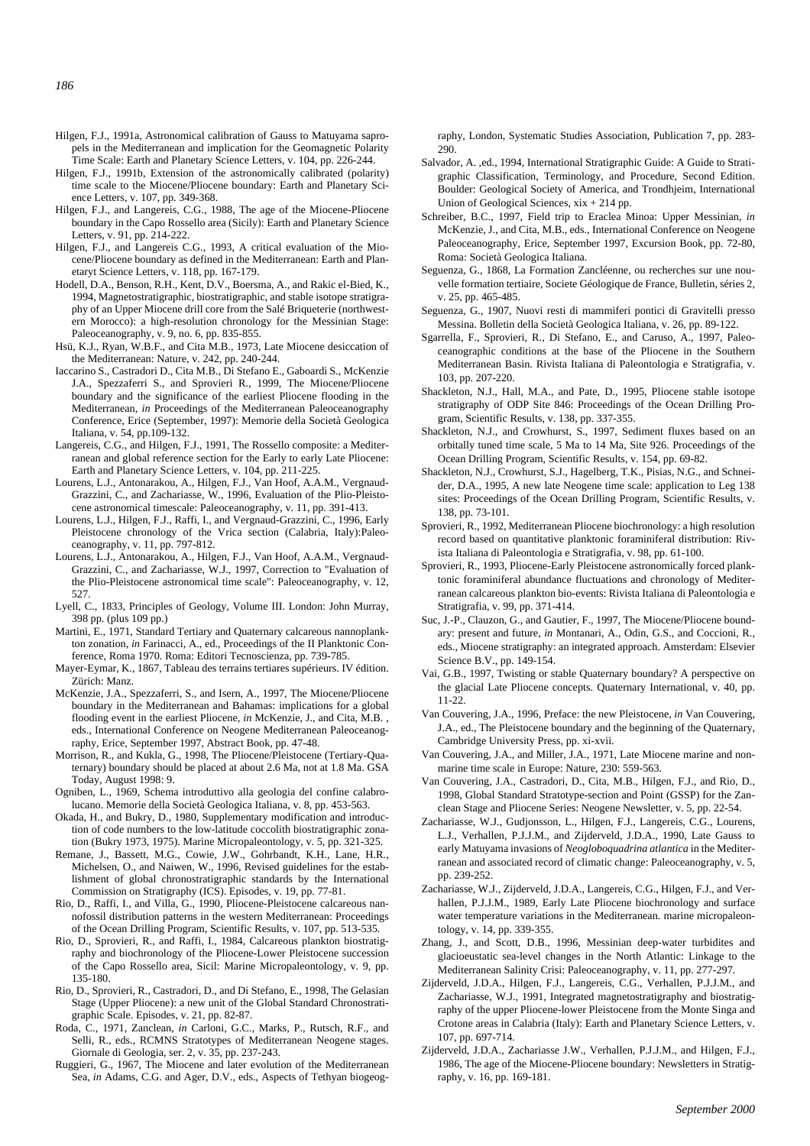- Hilgen, F.J., 1991a, Astronomical calibration of Gauss to Matuyama sapropels in the Mediterranean and implication for the Geomagnetic Polarity Time Scale: Earth and Planetary Science Letters, v. 104, pp. 226-244.
- Hilgen, F.J., 1991b, Extension of the astronomically calibrated (polarity) time scale to the Miocene/Pliocene boundary: Earth and Planetary Science Letters, v. 107, pp. 349-368.
- Hilgen, F.J., and Langereis, C.G., 1988, The age of the Miocene-Pliocene boundary in the Capo Rossello area (Sicily): Earth and Planetary Science Letters, v. 91, pp. 214-222.
- Hilgen, F.J., and Langereis C.G., 1993, A critical evaluation of the Miocene/Pliocene boundary as defined in the Mediterranean: Earth and Planetaryt Science Letters, v. 118, pp. 167-179.
- Hodell, D.A., Benson, R.H., Kent, D.V., Boersma, A., and Rakic el-Bied, K., 1994, Magnetostratigraphic, biostratigraphic, and stable isotope stratigraphy of an Upper Miocene drill core from the Salé Briqueterie (northwestern Morocco): a high-resolution chronology for the Messinian Stage: Paleoceanography, v. 9, no. 6, pp. 835-855.
- Hsü, K.J., Ryan, W.B.F., and Cita M.B., 1973, Late Miocene desiccation of the Mediterranean: Nature, v. 242, pp. 240-244.
- Iaccarino S., Castradori D., Cita M.B., Di Stefano E., Gaboardi S., McKenzie J.A., Spezzaferri S., and Sprovieri R., 1999, The Miocene/Pliocene boundary and the significance of the earliest Pliocene flooding in the Mediterranean, *in* Proceedings of the Mediterranean Paleoceanography Conference, Erice (September, 1997): Memorie della Società Geologica Italiana, v. 54, pp.109-132.
- Langereis, C.G., and Hilgen, F.J., 1991, The Rossello composite: a Mediterranean and global reference section for the Early to early Late Pliocene: Earth and Planetary Science Letters, v. 104, pp. 211-225.
- Lourens, L.J., Antonarakou, A., Hilgen, F.J., Van Hoof, A.A.M., Vergnaud-Grazzini, C., and Zachariasse, W., 1996, Evaluation of the Plio-Pleistocene astronomical timescale: Paleoceanography, v. 11, pp. 391-413.
- Lourens, L.J., Hilgen, F.J., Raffi, I., and Vergnaud-Grazzini, C., 1996, Early Pleistocene chronology of the Vrica section (Calabria, Italy):Paleoceanography, v. 11, pp. 797-812.
- Lourens, L.J., Antonarakou, A., Hilgen, F.J., Van Hoof, A.A.M., Vergnaud-Grazzini, C., and Zachariasse, W.J., 1997, Correction to "Evaluation of the Plio-Pleistocene astronomical time scale": Paleoceanography, v. 12, 527
- Lyell, C., 1833, Principles of Geology, Volume III. London: John Murray, 398 pp. (plus 109 pp.)
- Martini, E., 1971, Standard Tertiary and Quaternary calcareous nannoplankton zonation, *in* Farinacci, A., ed., Proceedings of the II Planktonic Conference, Roma 1970. Roma: Editori Tecnoscienza, pp. 739-785.
- Mayer-Eymar, K., 1867, Tableau des terrains tertiares supérieurs. IV édition. Zürich: Manz.
- McKenzie, J.A., Spezzaferri, S., and Isern, A., 1997, The Miocene/Pliocene boundary in the Mediterranean and Bahamas: implications for a global flooding event in the earliest Pliocene, *in* McKenzie, J., and Cita, M.B. , eds., International Conference on Neogene Mediterranean Paleoceanography, Erice, September 1997, Abstract Book, pp. 47-48.
- Morrison, R., and Kukla, G., 1998, The Pliocene/Pleistocene (Tertiary-Quaternary) boundary should be placed at about 2.6 Ma, not at 1.8 Ma. GSA Today, August 1998: 9.
- Ogniben, L., 1969, Schema introduttivo alla geologia del confine calabrolucano. Memorie della Società Geologica Italiana, v. 8, pp. 453-563.
- Okada, H., and Bukry, D., 1980, Supplementary modification and introduction of code numbers to the low-latitude coccolith biostratigraphic zonation (Bukry 1973, 1975). Marine Micropaleontology, v. 5, pp. 321-325.
- Remane, J., Bassett, M.G., Cowie, J.W., Gohrbandt, K.H., Lane, H.R., Michelsen, O., and Naiwen, W., 1996, Revised guidelines for the establishment of global chronostratigraphic standards by the International Commission on Stratigraphy (ICS). Episodes, v. 19, pp. 77-81.
- Rio, D., Raffi, I., and Villa, G., 1990, Pliocene-Pleistocene calcareous nannofossil distribution patterns in the western Mediterranean: Proceedings of the Ocean Drilling Program, Scientific Results, v. 107, pp. 513-535.
- Rio, D., Sprovieri, R., and Raffi, I., 1984, Calcareous plankton biostratigraphy and biochronology of the Pliocene-Lower Pleistocene succession of the Capo Rossello area, Sicil: Marine Micropaleontology, v. 9, pp. 135-180.
- Rio, D., Sprovieri, R., Castradori, D., and Di Stefano, E., 1998, The Gelasian Stage (Upper Pliocene): a new unit of the Global Standard Chronostratigraphic Scale. Episodes, v. 21, pp. 82-87.
- Roda, C., 1971, Zanclean, *in* Carloni, G.C., Marks, P., Rutsch, R.F., and Selli, R., eds., RCMNS Stratotypes of Mediterranean Neogene stages. Giornale di Geologia, ser. 2, v. 35, pp. 237-243.
- Ruggieri, G., 1967, The Miocene and later evolution of the Mediterranean Sea, *in* Adams, C.G. and Ager, D.V., eds., Aspects of Tethyan biogeog-

raphy, London, Systematic Studies Association, Publication 7, pp. 283- 290.

- Salvador, A. ,ed., 1994, International Stratigraphic Guide: A Guide to Stratigraphic Classification, Terminology, and Procedure, Second Edition. Boulder: Geological Society of America, and Trondhjeim, International Union of Geological Sciences,  $x\dot{x} + 214$  pp.
- Schreiber, B.C., 1997, Field trip to Eraclea Minoa: Upper Messinian, *in* McKenzie, J., and Cita, M.B., eds., International Conference on Neogene Paleoceanography, Erice, September 1997, Excursion Book, pp. 72-80, Roma: Società Geologica Italiana.
- Seguenza, G., 1868, La Formation Zancléenne, ou recherches sur une nouvelle formation tertiaire, Societe Géologique de France, Bulletin, séries 2, v. 25, pp. 465-485.
- Seguenza, G., 1907, Nuovi resti di mammiferi pontici di Gravitelli presso Messina. Bolletin della Società Geologica Italiana, v. 26, pp. 89-122.
- Sgarrella, F., Sprovieri, R., Di Stefano, E., and Caruso, A., 1997, Paleoceanographic conditions at the base of the Pliocene in the Southern Mediterranean Basin. Rivista Italiana di Paleontologia e Stratigrafia, v. 103, pp. 207-220.
- Shackleton, N.J., Hall, M.A., and Pate, D., 1995, Pliocene stable isotope stratigraphy of ODP Site 846: Proceedings of the Ocean Drilling Program, Scientific Results, v. 138, pp. 337-355.
- Shackleton, N.J., and Crowhurst, S., 1997, Sediment fluxes based on an orbitally tuned time scale, 5 Ma to 14 Ma, Site 926. Proceedings of the Ocean Drilling Program, Scientific Results, v. 154, pp. 69-82.
- Shackleton, N.J., Crowhurst, S.J., Hagelberg, T.K., Pisias, N.G., and Schneider, D.A., 1995, A new late Neogene time scale: application to Leg 138 sites: Proceedings of the Ocean Drilling Program, Scientific Results, v. 138, pp. 73-101.
- Sprovieri, R., 1992, Mediterranean Pliocene biochronology: a high resolution record based on quantitative planktonic foraminiferal distribution: Rivista Italiana di Paleontologia e Stratigrafia, v. 98, pp. 61-100.
- Sprovieri, R., 1993, Pliocene-Early Pleistocene astronomically forced planktonic foraminiferal abundance fluctuations and chronology of Mediterranean calcareous plankton bio-events: Rivista Italiana di Paleontologia e Stratigrafia, v. 99, pp. 371-414.
- Suc, J.-P., Clauzon, G., and Gautier, F., 1997, The Miocene/Pliocene boundary: present and future, *in* Montanari, A., Odin, G.S., and Coccioni, R., eds., Miocene stratigraphy: an integrated approach. Amsterdam: Elsevier Science B.V., pp. 149-154.
- Vai, G.B., 1997, Twisting or stable Quaternary boundary? A perspective on the glacial Late Pliocene concepts. Quaternary International, v. 40, pp. 11-22.
- Van Couvering, J.A., 1996, Preface: the new Pleistocene, *in* Van Couvering, J.A., ed., The Pleistocene boundary and the beginning of the Quaternary, Cambridge University Press, pp. xi-xvii.
- Van Couvering, J.A., and Miller, J.A., 1971, Late Miocene marine and nonmarine time scale in Europe: Nature, 230: 559-563.
- Van Couvering, J.A., Castradori, D., Cita, M.B., Hilgen, F.J., and Rio, D., 1998, Global Standard Stratotype-section and Point (GSSP) for the Zanclean Stage and Pliocene Series: Neogene Newsletter, v. 5, pp. 22-54.
- Zachariasse, W.J., Gudjonsson, L., Hilgen, F.J., Langereis, C.G., Lourens, L.J., Verhallen, P.J.J.M., and Zijderveld, J.D.A., 1990, Late Gauss to early Matuyama invasions of *Neogloboquadrina atlantica* in the Mediterranean and associated record of climatic change: Paleoceanography, v. 5, pp. 239-252.
- Zachariasse, W.J., Zijderveld, J.D.A., Langereis, C.G., Hilgen, F.J., and Verhallen, P.J.J.M., 1989, Early Late Pliocene biochronology and surface water temperature variations in the Mediterranean. marine micropaleontology, v. 14, pp. 339-355.
- Zhang, J., and Scott, D.B., 1996, Messinian deep-water turbidites and glacioeustatic sea-level changes in the North Atlantic: Linkage to the Mediterranean Salinity Crisi: Paleoceanography, v. 11, pp. 277-297.
- Zijderveld, J.D.A., Hilgen, F.J., Langereis, C.G., Verhallen, P.J.J.M., and Zachariasse, W.J., 1991, Integrated magnetostratigraphy and biostratigraphy of the upper Pliocene-lower Pleistocene from the Monte Singa and Crotone areas in Calabria (Italy): Earth and Planetary Science Letters, v. 107, pp. 697-714.
- Zijderveld, J.D.A., Zachariasse J.W., Verhallen, P.J.J.M., and Hilgen, F.J., 1986, The age of the Miocene-Pliocene boundary: Newsletters in Stratigraphy, v. 16, pp. 169-181.